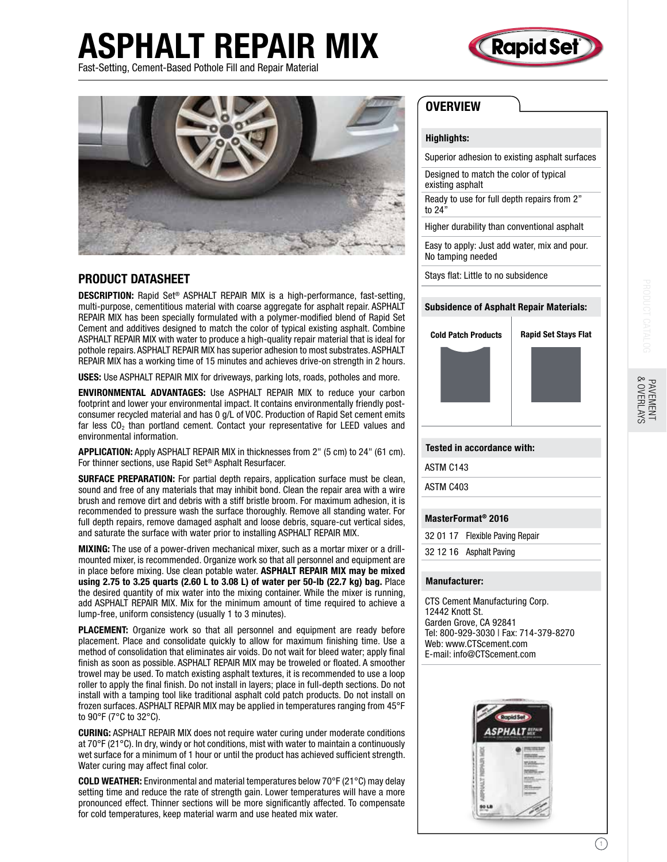# ASPHALT REPAIR MIX Fast-Setting, Cement-Based Pothole Fill and Repair Material





## PRODUCT DATASHEET

DESCRIPTION: Rapid Set® ASPHALT REPAIR MIX is a high-performance, fast-setting, multi-purpose, cementitious material with coarse aggregate for asphalt repair. ASPHALT REPAIR MIX has been specially formulated with a polymer-modified blend of Rapid Set Cement and additives designed to match the color of typical existing asphalt. Combine ASPHALT REPAIR MIX with water to produce a high-quality repair material that is ideal for pothole repairs. ASPHALT REPAIR MIX has superior adhesion to most substrates. ASPHALT REPAIR MIX has a working time of 15 minutes and achieves drive-on strength in 2 hours.

USES: Use ASPHALT REPAIR MIX for driveways, parking lots, roads, potholes and more.

ENVIRONMENTAL ADVANTAGES: Use ASPHALT REPAIR MIX to reduce your carbon footprint and lower your environmental impact. It contains environmentally friendly postconsumer recycled material and has 0 g/L of VOC. Production of Rapid Set cement emits far less  $CO<sub>2</sub>$  than portland cement. Contact your representative for LEED values and environmental information.

APPLICATION: Apply ASPHALT REPAIR MIX in thicknesses from 2" (5 cm) to 24" (61 cm). For thinner sections, use Rapid Set® Asphalt Resurfacer.

SURFACE PREPARATION: For partial depth repairs, application surface must be clean, sound and free of any materials that may inhibit bond. Clean the repair area with a wire brush and remove dirt and debris with a stiff bristle broom. For maximum adhesion, it is recommended to pressure wash the surface thoroughly. Remove all standing water. For full depth repairs, remove damaged asphalt and loose debris, square-cut vertical sides, and saturate the surface with water prior to installing ASPHALT REPAIR MIX.

MIXING: The use of a power-driven mechanical mixer, such as a mortar mixer or a drillmounted mixer, is recommended. Organize work so that all personnel and equipment are in place before mixing. Use clean potable water. ASPHALT REPAIR MIX may be mixed using 2.75 to 3.25 quarts (2.60 L to 3.08 L) of water per 50-lb (22.7 kg) bag. Place the desired quantity of mix water into the mixing container. While the mixer is running, add ASPHALT REPAIR MIX. Mix for the minimum amount of time required to achieve a lump-free, uniform consistency (usually 1 to 3 minutes).

PLACEMENT: Organize work so that all personnel and equipment are ready before placement. Place and consolidate quickly to allow for maximum finishing time. Use a method of consolidation that eliminates air voids. Do not wait for bleed water; apply final finish as soon as possible. ASPHALT REPAIR MIX may be troweled or floated. A smoother trowel may be used. To match existing asphalt textures, it is recommended to use a loop roller to apply the final finish. Do not install in layers; place in full-depth sections. Do not install with a tamping tool like traditional asphalt cold patch products. Do not install on frozen surfaces. ASPHALT REPAIR MIX may be applied in temperatures ranging from 45°F to 90°F (7°C to 32°C).

CURING: ASPHALT REPAIR MIX does not require water curing under moderate conditions at 70°F (21°C). In dry, windy or hot conditions, mist with water to maintain a continuously wet surface for a minimum of 1 hour or until the product has achieved sufficient strength. Water curing may affect final color.

**COLD WEATHER:** Environmental and material temperatures below 70°F (21°C) may delay setting time and reduce the rate of strength gain. Lower temperatures will have a more pronounced effect. Thinner sections will be more significantly affected. To compensate for cold temperatures, keep material warm and use heated mix water.

# **OVERVIEW**

#### Highlights:

Superior adhesion to existing asphalt surfaces

Designed to match the color of typical existing asphalt

Ready to use for full depth repairs from 2" to 24"

Higher durability than conventional asphalt

Easy to apply: Just add water, mix and pour. No tamping needed

Stays flat: Little to no subsidence

#### Subsidence of Asphalt Repair Materials:



### Tested in accordance with:

ASTM C143

ASTM C403

#### MasterFormat® 2016

32 01 17 Flexible Paving Repair

32 12 16 Asphalt Paving

#### Manufacturer:

CTS Cement Manufacturing Corp. 12442 Knott St. Garden Grove, CA 92841 Tel: 800-929-3030 | Fax: 714-379-8270 Web: www.CTScement.com E-mail: info@CTScement.com